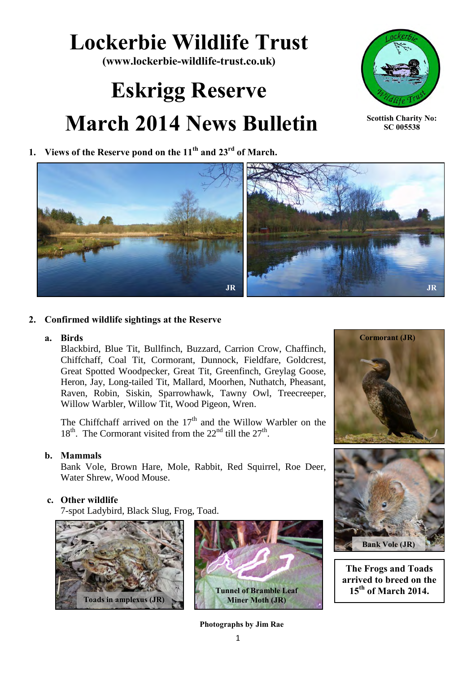## **Lockerbie Wildlife Trust**

**(www.lockerbie-wildlife-trust.co.uk)** 

# **Eskrigg Reserve March 2014 News Bulletin**





**Scottish Charity No: SC 005538**



#### **2. Confirmed wildlife sightings at the Reserve**

#### **a. Birds**

Blackbird, Blue Tit, Bullfinch, Buzzard, Carrion Crow, Chaffinch, Chiffchaff, Coal Tit, Cormorant, Dunnock, Fieldfare, Goldcrest, Great Spotted Woodpecker, Great Tit, Greenfinch, Greylag Goose, Heron, Jay, Long-tailed Tit, Mallard, Moorhen, Nuthatch, Pheasant, Raven, Robin, Siskin, Sparrowhawk, Tawny Owl, Treecreeper, Willow Warbler, Willow Tit, Wood Pigeon, Wren.

The Chiffchaff arrived on the  $17<sup>th</sup>$  and the Willow Warbler on the 18<sup>th</sup>. The Cormorant visited from the  $22<sup>nd</sup>$  till the  $27<sup>th</sup>$ .

#### **b. Mammals**

Bank Vole, Brown Hare, Mole, Rabbit, Red Squirrel, Roe Deer, Water Shrew, Wood Mouse.

#### **c. Other wildlife**

7-spot Ladybird, Black Slug, Frog, Toad.





**Photographs by Jim Rae**





**The Frogs and Toads arrived to breed on the 15th of March 2014.**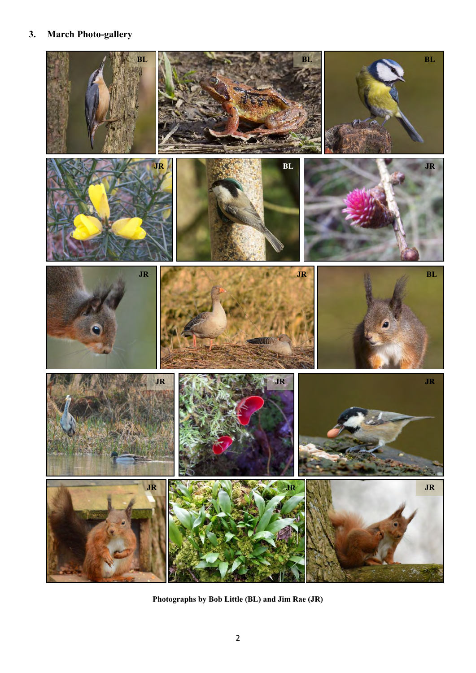### **3. March Photo-gallery**



**Photographs by Bob Little (BL) and Jim Rae (JR)**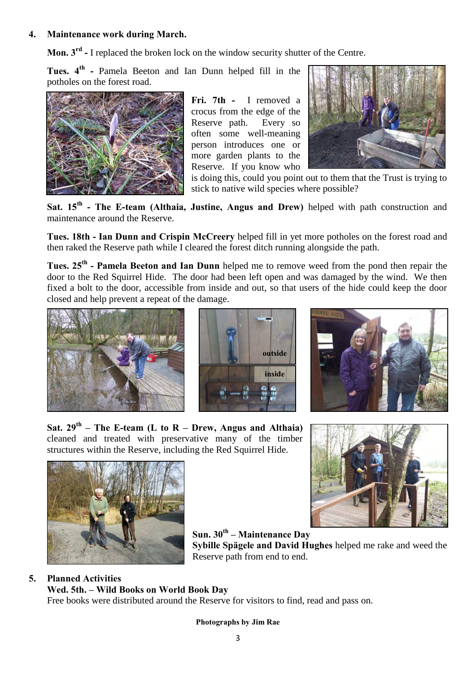#### **4. Maintenance work during March.**

**Mon. 3rd -** I replaced the broken lock on the window security shutter of the Centre.

**Tues. 4th -** Pamela Beeton and Ian Dunn helped fill in the potholes on the forest road.



**Fri. 7th -** I removed a crocus from the edge of the Reserve path. Every so often some well-meaning person introduces one or more garden plants to the Reserve. If you know who



is doing this, could you point out to them that the Trust is trying to stick to native wild species where possible?

Sat. 15<sup>th</sup> - The E-team (Althaia, Justine, Angus and Drew) helped with path construction and maintenance around the Reserve.

**Tues. 18th - Ian Dunn and Crispin McCreery** helped fill in yet more potholes on the forest road and then raked the Reserve path while I cleared the forest ditch running alongside the path.

**Tues. 25th - Pamela Beeton and Ian Dunn** helped me to remove weed from the pond then repair the door to the Red Squirrel Hide. The door had been left open and was damaged by the wind. We then fixed a bolt to the door, accessible from inside and out, so that users of the hide could keep the door closed and help prevent a repeat of the damage.







**Sat. 29th – The E-team (L to R – Drew, Angus and Althaia)**  cleaned and treated with preservative many of the timber structures within the Reserve, including the Red Squirrel Hide.





**Sun. 30th – Maintenance Day Sybille Spägele and David Hughes** helped me rake and weed the Reserve path from end to end.

#### **5. Planned Activities**

**Wed. 5th. – Wild Books on World Book Day** Free books were distributed around the Reserve for visitors to find, read and pass on.

#### **Photographs by Jim Rae**